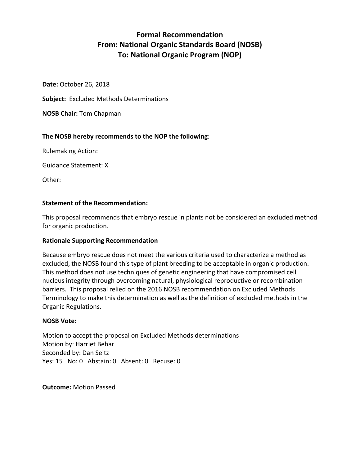# **Formal Recommendation From: National Organic Standards Board (NOSB) To: National Organic Program (NOP)**

**Date:** October 26, 2018

**Subject:** Excluded Methods Determinations

**NOSB Chair:** Tom Chapman

# **The NOSB hereby recommends to the NOP the following**:

Rulemaking Action:

Guidance Statement: X

Other:

# **Statement of the Recommendation:**

This proposal recommends that embryo rescue in plants not be considered an excluded method for organic production.

# **Rationale Supporting Recommendation**

Because embryo rescue does not meet the various criteria used to characterize a method as excluded, the NOSB found this type of plant breeding to be acceptable in organic production. This method does not use techniques of genetic engineering that have compromised cell nucleus integrity through overcoming natural, physiological reproductive or recombination barriers. This proposal relied on the 2016 NOSB recommendation on Excluded Methods Terminology to make this determination as well as the definition of excluded methods in the Organic Regulations.

# **NOSB Vote:**

Motion to accept the proposal on Excluded Methods determinations Motion by: Harriet Behar Seconded by: Dan Seitz Yes: 15 No: 0 Abstain: 0 Absent: 0 Recuse: 0

**Outcome:** Motion Passed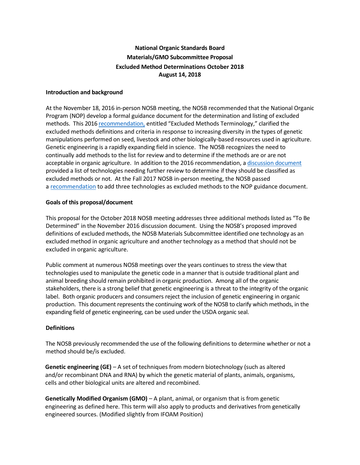# **National Organic Standards Board Materials/GMO Subcommittee Proposal Excluded Method Determinations October 2018 August 14, 2018**

#### **Introduction and background**

At the November 18, 2016 in-person NOSB meeting, the NOSB recommended that the National Organic Program (NOP) develop a formal guidance document for the determination and listing of excluded methods. This 2016 [recommendation,](https://www.ams.usda.gov/sites/default/files/media/MSExcludedMethods.pdf) entitled "Excluded Methods Terminology," clarified the excluded methods definitions and criteria in response to increasing diversity in the types of genetic manipulations performed on seed, livestock and other biologically-based resources used in agriculture. Genetic engineering is a rapidly expanding field in science. The NOSB recognizes the need to continually add methods to the list for review and to determine if the methods are or are not acceptable in organic agriculture. In addition to the 2016 recommendation, a [discussion document](https://www.ams.usda.gov/sites/default/files/media/MSExcludedMethodsDiscussionDocumentNov2016.pdf) provided a list of technologies needing further review to determine if they should be classified as excluded methods or not. At the Fall 2017 NOSB in-person meeting, the NOSB passed [a recommendation](https://www.ams.usda.gov/sites/default/files/media/MSExcludedMethodsFinalRec.pdf) to add three technologies as excluded methods to the NOP guidance document.

#### **Goals of this proposal/document**

This proposal for the October 2018 NOSB meeting addresses three additional methods listed as "To Be Determined" in the November 2016 discussion document. Using the NOSB's proposed improved definitions of excluded methods, the NOSB Materials Subcommittee identified one technology as an excluded method in organic agriculture and another technology as a method that should not be excluded in organic agriculture.

Public comment at numerous NOSB meetings over the years continues to stress the view that technologies used to manipulate the genetic code in a manner that is outside traditional plant and animal breeding should remain prohibited in organic production. Among all of the organic stakeholders, there is a strong belief that genetic engineering is a threat to the integrity of the organic label. Both organic producers and consumers reject the inclusion of genetic engineering in organic production. This document represents the continuing work of the NOSB to clarify which methods, in the expanding field of genetic engineering, can be used under the USDA organic seal.

# **Definitions**

The NOSB previously recommended the use of the following definitions to determine whether or not a method should be/is excluded.

**Genetic engineering (GE)** – A set of techniques from modern biotechnology (such as altered and/or recombinant DNA and RNA) by which the genetic material of plants, animals, organisms, cells and other biological units are altered and recombined.

**Genetically Modified Organism (GMO)** – A plant, animal, or organism that is from genetic engineering as defined here. This term will also apply to products and derivatives from genetically engineered sources. (Modified slightly from IFOAM Position)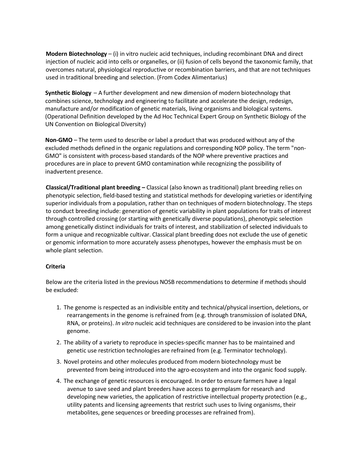**Modern Biotechnology** – (i) in vitro nucleic acid techniques, including recombinant DNA and direct injection of nucleic acid into cells or organelles, or (ii) fusion of cells beyond the taxonomic family, that overcomes natural, physiological reproductive or recombination barriers, and that are not techniques used in traditional breeding and selection. (From Codex Alimentarius)

**Synthetic Biology** – A further development and new dimension of modern biotechnology that combines science, technology and engineering to facilitate and accelerate the design, redesign, manufacture and/or modification of genetic materials, living organisms and biological systems. (Operational Definition developed by the Ad Hoc Technical Expert Group on Synthetic Biology of the UN Convention on Biological Diversity)

**Non-GMO** – The term used to describe or label a product that was produced without any of the excluded methods defined in the organic regulations and corresponding NOP policy. The term "non-GMO" is consistent with process-based standards of the NOP where preventive practices and procedures are in place to prevent GMO contamination while recognizing the possibility of inadvertent presence.

**Classical/Traditional plant breeding –** Classical (also known as traditional) plant breeding relies on phenotypic selection, field-based testing and statistical methods for developing varieties or identifying superior individuals from a population, rather than on techniques of modern biotechnology. The steps to conduct breeding include: generation of genetic variability in plant populations for traits of interest through controlled crossing (or starting with genetically diverse populations), phenotypic selection among genetically distinct individuals for traits of interest, and stabilization of selected individuals to form a unique and recognizable cultivar. Classical plant breeding does not exclude the use of genetic or genomic information to more accurately assess phenotypes, however the emphasis must be on whole plant selection.

#### **Criteria**

Below are the criteria listed in the previous NOSB recommendations to determine if methods should be excluded:

- 1. The genome is respected as an indivisible entity and technical/physical insertion, deletions, or rearrangements in the genome is refrained from (e.g. through transmission of isolated DNA, RNA, or proteins). *In vitro* nucleic acid techniques are considered to be invasion into the plant genome.
- 2. The ability of a variety to reproduce in species-specific manner has to be maintained and genetic use restriction technologies are refrained from (e.g. Terminator technology).
- 3. Novel proteins and other molecules produced from modern biotechnology must be prevented from being introduced into the agro-ecosystem and into the organic food supply.
- 4. The exchange of genetic resources is encouraged. In order to ensure farmers have a legal avenue to save seed and plant breeders have access to germplasm for research and developing new varieties, the application of restrictive intellectual property protection (e.g., utility patents and licensing agreements that restrict such uses to living organisms, their metabolites, gene sequences or breeding processes are refrained from).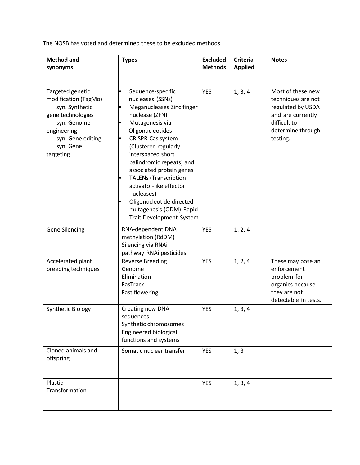The NOSB has voted and determined these to be excluded methods.

| <b>Method and</b><br>synonyms                                                                                                                                | <b>Types</b>                                                                                                                                                                                                                                                                                                                                                                                                      | <b>Excluded</b><br><b>Methods</b> | <b>Criteria</b><br><b>Applied</b> | <b>Notes</b>                                                                                                                       |
|--------------------------------------------------------------------------------------------------------------------------------------------------------------|-------------------------------------------------------------------------------------------------------------------------------------------------------------------------------------------------------------------------------------------------------------------------------------------------------------------------------------------------------------------------------------------------------------------|-----------------------------------|-----------------------------------|------------------------------------------------------------------------------------------------------------------------------------|
| Targeted genetic<br>modification (TagMo)<br>syn. Synthetic<br>gene technologies<br>syn. Genome<br>engineering<br>syn. Gene editing<br>syn. Gene<br>targeting | Sequence-specific<br>nucleases (SSNs)<br>Meganucleases Zinc finger<br>nuclease (ZFN)<br>Mutagenesis via<br>Oligonucleotides<br>CRISPR-Cas system<br>(Clustered regularly<br>interspaced short<br>palindromic repeats) and<br>associated protein genes<br><b>TALENs (Transcription</b><br>activator-like effector<br>nucleases)<br>Oligonucleotide directed<br>mutagenesis (ODM) Rapid<br>Trait Development System | <b>YES</b>                        | 1, 3, 4                           | Most of these new<br>techniques are not<br>regulated by USDA<br>and are currently<br>difficult to<br>determine through<br>testing. |
| <b>Gene Silencing</b>                                                                                                                                        | RNA-dependent DNA<br>methylation (RdDM)<br>Silencing via RNAi<br>pathway RNAi pesticides                                                                                                                                                                                                                                                                                                                          | <b>YES</b>                        | 1, 2, 4                           |                                                                                                                                    |
| Accelerated plant<br>breeding techniques                                                                                                                     | <b>Reverse Breeding</b><br>Genome<br>Elimination<br>FasTrack<br><b>Fast flowering</b>                                                                                                                                                                                                                                                                                                                             | <b>YES</b>                        | 1, 2, 4                           | These may pose an<br>enforcement<br>problem for<br>organics because<br>they are not<br>detectable in tests.                        |
| Synthetic Biology                                                                                                                                            | Creating new DNA<br>sequences<br>Synthetic chromosomes<br>Engineered biological<br>functions and systems                                                                                                                                                                                                                                                                                                          | <b>YES</b>                        | 1, 3, 4                           |                                                                                                                                    |
| Cloned animals and<br>offspring                                                                                                                              | Somatic nuclear transfer                                                                                                                                                                                                                                                                                                                                                                                          | <b>YES</b>                        | 1, 3                              |                                                                                                                                    |
| Plastid<br>Transformation                                                                                                                                    |                                                                                                                                                                                                                                                                                                                                                                                                                   | <b>YES</b>                        | 1, 3, 4                           |                                                                                                                                    |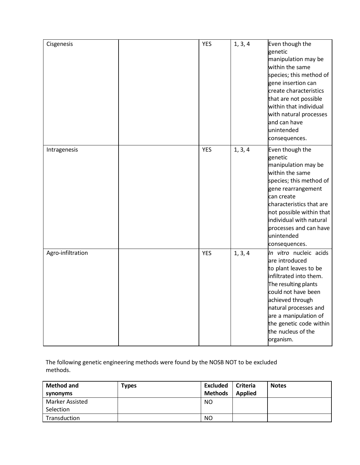| Cisgenesis        | <b>YES</b> | 1, 3, 4 | Even though the<br>genetic<br>manipulation may be<br>within the same<br>species; this method of<br>gene insertion can<br>create characteristics<br>that are not possible<br>within that individual<br>with natural processes<br>and can have<br>unintended<br>consequences.     |
|-------------------|------------|---------|---------------------------------------------------------------------------------------------------------------------------------------------------------------------------------------------------------------------------------------------------------------------------------|
| Intragenesis      | <b>YES</b> | 1, 3, 4 | Even though the<br>genetic<br>manipulation may be<br>within the same<br>species; this method of<br>gene rearrangement<br>can create<br>characteristics that are<br>not possible within that<br>individual with natural<br>processes and can have<br>unintended<br>consequences. |
| Agro-infiltration | <b>YES</b> | 1, 3, 4 | In vitro nucleic acids<br>are introduced<br>to plant leaves to be<br>infiltrated into them.<br>The resulting plants<br>could not have been<br>achieved through<br>natural processes and<br>are a manipulation of<br>the genetic code within<br>the nucleus of the<br>organism.  |

The following genetic engineering methods were found by the NOSB NOT to be excluded methods.

| <b>Method and</b>                   | <b>Types</b> | <b>Excluded</b> | <b>Criteria</b> | <b>Notes</b> |
|-------------------------------------|--------------|-----------------|-----------------|--------------|
| synonyms                            |              | <b>Methods</b>  | <b>Applied</b>  |              |
| <b>Marker Assisted</b><br>Selection |              | NO.             |                 |              |
| Transduction                        |              | <b>NO</b>       |                 |              |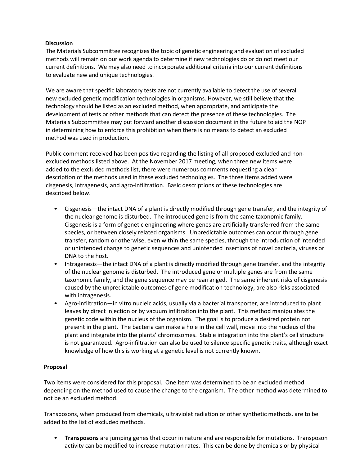# **Discussion**

The Materials Subcommittee recognizes the topic of genetic engineering and evaluation of excluded methods will remain on our work agenda to determine if new technologies do or do not meet our current definitions. We may also need to incorporate additional criteria into our current definitions to evaluate new and unique technologies.

We are aware that specific laboratory tests are not currently available to detect the use of several new excluded genetic modification technologies in organisms. However, we still believe that the technology should be listed as an excluded method, when appropriate, and anticipate the development of tests or other methods that can detect the presence of these technologies. The Materials Subcommittee may put forward another discussion document in the future to aid the NOP in determining how to enforce this prohibition when there is no means to detect an excluded method was used in production.

Public comment received has been positive regarding the listing of all proposed excluded and nonexcluded methods listed above. At the November 2017 meeting, when three new items were added to the excluded methods list, there were numerous comments requesting a clear description of the methods used in these excluded technologies. The three items added were cisgenesis, intragenesis, and agro-infiltration. Basic descriptions of these technologies are described below.

- Cisgenesis—the intact DNA of a plant is directly modified through gene transfer, and the integrity of the nuclear genome is disturbed. The introduced gene is from the same taxonomic family. Cisgenesis is a form of genetic engineering where genes are artificially transferred from the same species, or between closely related organisms. Unpredictable outcomes can occur through gene transfer, random or otherwise, even within the same species, through the introduction of intended or unintended change to genetic sequences and unintended insertions of novel bacteria, viruses or DNA to the host.
- Intragenesis—the intact DNA of a plant is directly modified through gene transfer, and the integrity of the nuclear genome is disturbed. The introduced gene or multiple genes are from the same taxonomic family, and the gene sequence may be rearranged. The same inherent risks of cisgenesis caused by the unpredictable outcomes of gene modification technology, are also risks associated with intragenesis.
- Agro-infiltration—in vitro nucleic acids, usually via a bacterial transporter, are introduced to plant leaves by direct injection or by vacuum infiltration into the plant. This method manipulates the genetic code within the nucleus of the organism. The goal is to produce a desired protein not present in the plant. The bacteria can make a hole in the cell wall, move into the nucleus of the plant and integrate into the plants' chromosomes. Stable integration into the plant's cell structure is not guaranteed. Agro-infiltration can also be used to silence specific genetic traits, although exact knowledge of how this is working at a genetic level is not currently known.

# **Proposal**

Two items were considered for this proposal. One item was determined to be an excluded method depending on the method used to cause the change to the organism. The other method was determined to not be an excluded method.

Transposons, when produced from chemicals, ultraviolet radiation or other synthetic methods, are to be added to the list of excluded methods.

• **Transposons** are jumping genes that occur in nature and are responsible for mutations. Transposon activity can be modified to increase mutation rates. This can be done by chemicals or by physical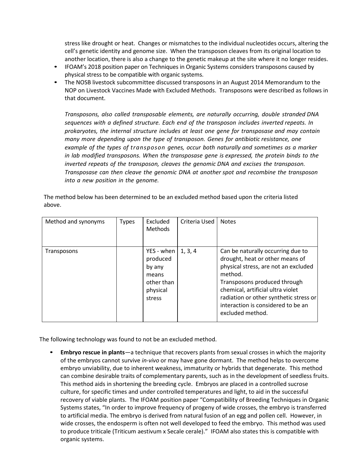stress like drought or heat. Changes or mismatches to the individual nucleotides occurs, altering the cell's genetic identity and genome size. When the transposon cleaves from its original location to another location, there is also a change to the genetic makeup at the site where it no longer resides.

- IFOAM's 2018 position paper on Techniques in Organic Systems considers transposons caused by physical stress to be compatible with organic systems.
- The NOSB livestock subcommittee discussed transposons in an August 2014 Memorandum to the NOP on Livestock Vaccines Made with Excluded Methods. Transposons were described as follows in that document.

*Transposons, also called transposable elements, are naturally occurring, double stranded DNA sequences with a defined structure. Each end of the transposon includes inverted repeats. In prokaryotes, the internal structure includes at least one gene for transposase and may contain many more depending upon the type of transposon. Genes for antibiotic resistance, one example of the types of transposon genes, occur both naturally and sometimes as a marker in lab modified transposons. When the transposase gene is expressed, the protein binds to the inverted repeats of the transposon, cleaves the genomic DNA and excises the transposon. Transposase can then cleave the genomic DNA at another spot and recombine the transposon into a new position in the genome.*

| Method and synonyms | <b>Types</b> | Excluded<br><b>Methods</b>                                                    | Criteria Used | <b>Notes</b>                                                                                                                                                                                                                                                                                     |
|---------------------|--------------|-------------------------------------------------------------------------------|---------------|--------------------------------------------------------------------------------------------------------------------------------------------------------------------------------------------------------------------------------------------------------------------------------------------------|
| Transposons         |              | YES - when<br>produced<br>by any<br>means<br>other than<br>physical<br>stress | 1, 3, 4       | Can be naturally occurring due to<br>drought, heat or other means of<br>physical stress, are not an excluded<br>method.<br>Transposons produced through<br>chemical, artificial ultra violet<br>radiation or other synthetic stress or<br>interaction is considered to be an<br>excluded method. |

The method below has been determined to be an excluded method based upon the criteria listed above.

The following technology was found to not be an excluded method.

• **Embryo rescue in plants**—a technique that recovers plants from sexual crosses in which the majority of the embryos cannot survive *in-vivo* or may have gone dormant. The method helps to overcome embryo unviability, due to inherent weakness, immaturity or hybrids that degenerate. This method can combine desirable traits of complementary parents, such as in the development of seedless fruits. This method aids in shortening the breeding cycle. Embryos are placed in a controlled sucrose culture, for specific times and under controlled temperatures and light, to aid in the successful recovery of viable plants. The IFOAM position paper "Compatibility of Breeding Techniques in Organic Systems states, "In order to improve frequency of progeny of wide crosses, the embryo is transferred to artificial media. The embryo is derived from natural fusion of an egg and pollen cell. However, in wide crosses, the endosperm is often not well developed to feed the embryo. This method was used to produce triticale (Triticum aestivum x Secale cerale)." IFOAM also states this is compatible with organic systems.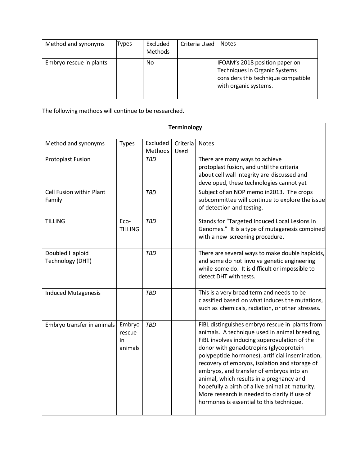| Method and synonyms     | Types | Excluded<br><b>Methods</b> | Criteria Used | <b>Notes</b>                                                                                                                           |
|-------------------------|-------|----------------------------|---------------|----------------------------------------------------------------------------------------------------------------------------------------|
| Embryo rescue in plants |       | No                         |               | <b>IFOAM's 2018 position paper on</b><br>Techniques in Organic Systems<br>considers this technique compatible<br>with organic systems. |

The following methods will continue to be researched.

| <b>Terminology</b>                  |                                   |                     |                  |                                                                                                                                                                                                                                                                                                                                                                                                                                                                                                                                       |  |
|-------------------------------------|-----------------------------------|---------------------|------------------|---------------------------------------------------------------------------------------------------------------------------------------------------------------------------------------------------------------------------------------------------------------------------------------------------------------------------------------------------------------------------------------------------------------------------------------------------------------------------------------------------------------------------------------|--|
| Method and synonyms                 | <b>Types</b>                      | Excluded<br>Methods | Criteria<br>Used | <b>Notes</b>                                                                                                                                                                                                                                                                                                                                                                                                                                                                                                                          |  |
| Protoplast Fusion                   |                                   | <b>TBD</b>          |                  | There are many ways to achieve<br>protoplast fusion, and until the criteria<br>about cell wall integrity are discussed and<br>developed, these technologies cannot yet                                                                                                                                                                                                                                                                                                                                                                |  |
| Cell Fusion within Plant<br>Family  |                                   | <b>TBD</b>          |                  | Subject of an NOP memo in2013. The crops<br>subcommittee will continue to explore the issue<br>of detection and testing.                                                                                                                                                                                                                                                                                                                                                                                                              |  |
| <b>TILLING</b>                      | Eco-<br><b>TILLING</b>            | <b>TBD</b>          |                  | Stands for "Targeted Induced Local Lesions In<br>Genomes." It is a type of mutagenesis combined<br>with a new screening procedure.                                                                                                                                                                                                                                                                                                                                                                                                    |  |
| Doubled Haploid<br>Technology (DHT) |                                   | <b>TBD</b>          |                  | There are several ways to make double haploids,<br>and some do not involve genetic engineering<br>while some do. It is difficult or impossible to<br>detect DHT with tests.                                                                                                                                                                                                                                                                                                                                                           |  |
| <b>Induced Mutagenesis</b>          |                                   | <b>TBD</b>          |                  | This is a very broad term and needs to be<br>classified based on what induces the mutations,<br>such as chemicals, radiation, or other stresses.                                                                                                                                                                                                                                                                                                                                                                                      |  |
| Embryo transfer in animals          | Embryo<br>rescue<br>in<br>animals | TBD                 |                  | FiBL distinguishes embryo rescue in plants from<br>animals. A technique used in animal breeding,<br>FiBL involves inducing superovulation of the<br>donor with gonadotropins (glycoprotein<br>polypeptide hormones), artificial insemination,<br>recovery of embryos, isolation and storage of<br>embryos, and transfer of embryos into an<br>animal, which results in a pregnancy and<br>hopefully a birth of a live animal at maturity.<br>More research is needed to clarify if use of<br>hormones is essential to this technique. |  |